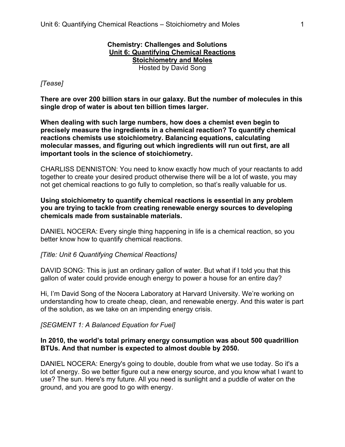# **Chemistry: Challenges and Solutions Unit 6: Quantifying Chemical Reactions Stoichiometry and Moles**

Hosted by David Song

### *[Tease]*

**There are over 200 billion stars in our galaxy. But the number of molecules in this single drop of water is about ten billion times larger.** 

**When dealing with such large numbers, how does a chemist even begin to precisely measure the ingredients in a chemical reaction? To quantify chemical reactions chemists use stoichiometry. Balancing equations, calculating molecular masses, and figuring out which ingredients will run out first, are all important tools in the science of stoichiometry.**

CHARLISS DENNISTON: You need to know exactly how much of your reactants to add together to create your desired product otherwise there will be a lot of waste, you may not get chemical reactions to go fully to completion, so that's really valuable for us.

### **Using stoichiometry to quantify chemical reactions is essential in any problem you are trying to tackle from creating renewable energy sources to developing chemicals made from sustainable materials.**

DANIEL NOCERA: Every single thing happening in life is a chemical reaction, so you better know how to quantify chemical reactions.

#### *[Title: Unit 6 Quantifying Chemical Reactions]*

DAVID SONG: This is just an ordinary gallon of water. But what if I told you that this gallon of water could provide enough energy to power a house for an entire day?

Hi, I'm David Song of the Nocera Laboratory at Harvard University. We're working on understanding how to create cheap, clean, and renewable energy. And this water is part of the solution, as we take on an impending energy crisis.

#### *[SEGMENT 1: A Balanced Equation for Fuel]*

### **In 2010, the world's total primary energy consumption was about 500 quadrillion BTUs. And that number is expected to almost double by 2050.**

DANIEL NOCERA: Energy's going to double, double from what we use today. So it's a lot of energy. So we better figure out a new energy source, and you know what I want to use? The sun. Here's my future. All you need is sunlight and a puddle of water on the ground, and you are good to go with energy.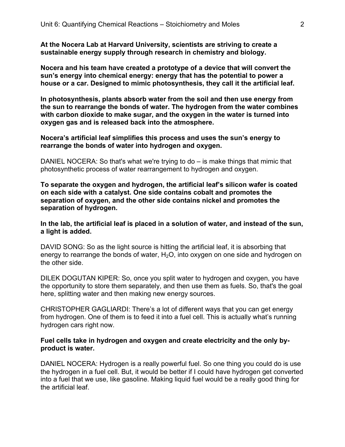**At the Nocera Lab at Harvard University, scientists are striving to create a sustainable energy supply through research in chemistry and biology.**

**Nocera and his team have created a prototype of a device that will convert the sun's energy into chemical energy: energy that has the potential to power a house or a car. Designed to mimic photosynthesis, they call it the artificial leaf.**

**In photosynthesis, plants absorb water from the soil and then use energy from the sun to rearrange the bonds of water. The hydrogen from the water combines with carbon dioxide to make sugar, and the oxygen in the water is turned into oxygen gas and is released back into the atmosphere.**

**Nocera's artificial leaf simplifies this process and uses the sun's energy to rearrange the bonds of water into hydrogen and oxygen.**

DANIEL NOCERA: So that's what we're trying to do – is make things that mimic that photosynthetic process of water rearrangement to hydrogen and oxygen.

**To separate the oxygen and hydrogen, the artificial leaf's silicon wafer is coated on each side with a catalyst. One side contains cobalt and promotes the separation of oxygen, and the other side contains nickel and promotes the separation of hydrogen.**

**In the lab, the artificial leaf is placed in a solution of water, and instead of the sun, a light is added.**

DAVID SONG: So as the light source is hitting the artificial leaf, it is absorbing that energy to rearrange the bonds of water,  $H_2O$ , into oxygen on one side and hydrogen on the other side.

DILEK DOGUTAN KIPER: So, once you split water to hydrogen and oxygen, you have the opportunity to store them separately, and then use them as fuels. So, that's the goal here, splitting water and then making new energy sources.

CHRISTOPHER GAGLIARDI: There's a lot of different ways that you can get energy from hydrogen. One of them is to feed it into a fuel cell. This is actually what's running hydrogen cars right now.

#### **Fuel cells take in hydrogen and oxygen and create electricity and the only byproduct is water.**

DANIEL NOCERA: Hydrogen is a really powerful fuel. So one thing you could do is use the hydrogen in a fuel cell. But, it would be better if I could have hydrogen get converted into a fuel that we use, like gasoline. Making liquid fuel would be a really good thing for the artificial leaf.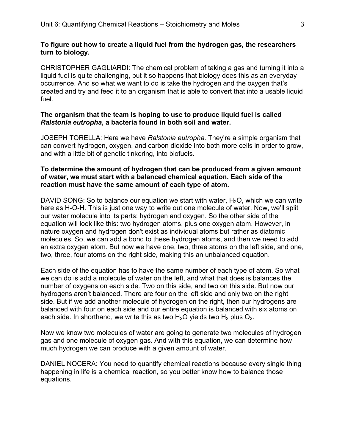### **To figure out how to create a liquid fuel from the hydrogen gas, the researchers turn to biology.**

CHRISTOPHER GAGLIARDI: The chemical problem of taking a gas and turning it into a liquid fuel is quite challenging, but it so happens that biology does this as an everyday occurrence. And so what we want to do is take the hydrogen and the oxygen that's created and try and feed it to an organism that is able to convert that into a usable liquid fuel.

### **The organism that the team is hoping to use to produce liquid fuel is called**  *Ralstonia eutropha***, a bacteria found in both soil and water.**

JOSEPH TORELLA: Here we have *Ralstonia eutropha*. They're a simple organism that can convert hydrogen, oxygen, and carbon dioxide into both more cells in order to grow, and with a little bit of genetic tinkering, into biofuels.

### **To determine the amount of hydrogen that can be produced from a given amount of water, we must start with a balanced chemical equation. Each side of the reaction must have the same amount of each type of atom.**

DAVID SONG: So to balance our equation we start with water,  $H_2O$ , which we can write here as H-O-H. This is just one way to write out one molecule of water. Now, we'll split our water molecule into its parts: hydrogen and oxygen. So the other side of the equation will look like this: two hydrogen atoms, plus one oxygen atom. However, in nature oxygen and hydrogen don't exist as individual atoms but rather as diatomic molecules. So, we can add a bond to these hydrogen atoms, and then we need to add an extra oxygen atom. But now we have one, two, three atoms on the left side, and one, two, three, four atoms on the right side, making this an unbalanced equation.

Each side of the equation has to have the same number of each type of atom. So what we can do is add a molecule of water on the left, and what that does is balances the number of oxygens on each side. Two on this side, and two on this side. But now our hydrogens aren't balanced. There are four on the left side and only two on the right side. But if we add another molecule of hydrogen on the right, then our hydrogens are balanced with four on each side and our entire equation is balanced with six atoms on each side. In shorthand, we write this as two  $H_2O$  yields two  $H_2$  plus  $O_2$ .

Now we know two molecules of water are going to generate two molecules of hydrogen gas and one molecule of oxygen gas. And with this equation, we can determine how much hydrogen we can produce with a given amount of water.

DANIEL NOCERA: You need to quantify chemical reactions because every single thing happening in life is a chemical reaction, so you better know how to balance those equations.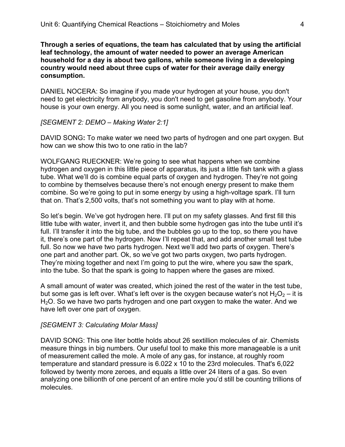**Through a series of equations, the team has calculated that by using the artificial leaf technology, the amount of water needed to power an average American household for a day is about two gallons, while someone living in a developing country would need about three cups of water for their average daily energy consumption.**

DANIEL NOCERA: So imagine if you made your hydrogen at your house, you don't need to get electricity from anybody, you don't need to get gasoline from anybody. Your house is your own energy. All you need is some sunlight, water, and an artificial leaf.

### *[SEGMENT 2: DEMO – Making Water 2:1]*

DAVID SONG**:** To make water we need two parts of hydrogen and one part oxygen. But how can we show this two to one ratio in the lab?

WOLFGANG RUECKNER: We're going to see what happens when we combine hydrogen and oxygen in this little piece of apparatus, its just a little fish tank with a glass tube. What we'll do is combine equal parts of oxygen and hydrogen. They're not going to combine by themselves because there's not enough energy present to make them combine. So we're going to put in some energy by using a high-voltage spark. I'll turn that on. That's 2,500 volts, that's not something you want to play with at home.

So let's begin. We've got hydrogen here. I'll put on my safety glasses. And first fill this little tube with water, invert it, and then bubble some hydrogen gas into the tube until it's full. I'll transfer it into the big tube, and the bubbles go up to the top, so there you have it, there's one part of the hydrogen. Now I'll repeat that, and add another small test tube full. So now we have two parts hydrogen. Next we'll add two parts of oxygen. There's one part and another part. Ok, so we've got two parts oxygen, two parts hydrogen. They're mixing together and next I'm going to put the wire, where you saw the spark, into the tube. So that the spark is going to happen where the gases are mixed.

A small amount of water was created, which joined the rest of the water in the test tube, but some gas is left over. What's left over is the oxygen because water's not  $H_2O_2$  – it is H<sub>2</sub>O. So we have two parts hydrogen and one part oxygen to make the water. And we have left over one part of oxygen.

#### *[SEGMENT 3: Calculating Molar Mass]*

DAVID SONG: This one liter bottle holds about 26 sextillion molecules of air. Chemists measure things in big numbers. Our useful tool to make this more manageable is a unit of measurement called the mole. A mole of any gas, for instance, at roughly room temperature and standard pressure is 6.022 x 10 to the 23rd molecules. That's 6,022 followed by twenty more zeroes, and equals a little over 24 liters of a gas. So even analyzing one billionth of one percent of an entire mole you'd still be counting trillions of molecules.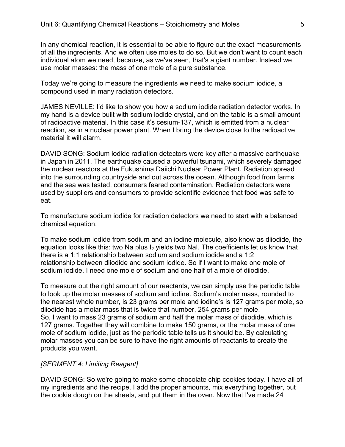In any chemical reaction, it is essential to be able to figure out the exact measurements of all the ingredients. And we often use moles to do so. But we don't want to count each individual atom we need, because, as we've seen, that's a giant number. Instead we use molar masses: the mass of one mole of a pure substance.

Today we're going to measure the ingredients we need to make sodium iodide, a compound used in many radiation detectors.

JAMES NEVILLE: I'd like to show you how a sodium iodide radiation detector works. In my hand is a device built with sodium iodide crystal, and on the table is a small amount of radioactive material. In this case it's cesium-137, which is emitted from a nuclear reaction, as in a nuclear power plant. When I bring the device close to the radioactive material it will alarm.

DAVID SONG: Sodium iodide radiation detectors were key after a massive earthquake in Japan in 2011. The earthquake caused a powerful tsunami, which severely damaged the nuclear reactors at the Fukushima Daiichi Nuclear Power Plant. Radiation spread into the surrounding countryside and out across the ocean. Although food from farms and the sea was tested, consumers feared contamination. Radiation detectors were used by suppliers and consumers to provide scientific evidence that food was safe to eat.

To manufacture sodium iodide for radiation detectors we need to start with a balanced chemical equation.

To make sodium iodide from sodium and an iodine molecule, also know as diiodide, the equation looks like this: two Na plus  $I_2$  yields two NaI. The coefficients let us know that there is a 1:1 relationship between sodium and sodium iodide and a 1:2 relationship between diiodide and sodium iodide. So if I want to make one mole of sodium iodide, I need one mole of sodium and one half of a mole of diiodide.

To measure out the right amount of our reactants, we can simply use the periodic table to look up the molar masses of sodium and iodine. Sodium's molar mass, rounded to the nearest whole number, is 23 grams per mole and iodine's is 127 grams per mole, so diiodide has a molar mass that is twice that number, 254 grams per mole. So, I want to mass 23 grams of sodium and half the molar mass of diiodide, which is 127 grams. Together they will combine to make 150 grams, or the molar mass of one mole of sodium iodide, just as the periodic table tells us it should be. By calculating molar masses you can be sure to have the right amounts of reactants to create the products you want.

#### *[SEGMENT 4: Limiting Reagent]*

DAVID SONG: So we're going to make some chocolate chip cookies today. I have all of my ingredients and the recipe. I add the proper amounts, mix everything together, put the cookie dough on the sheets, and put them in the oven. Now that I've made 24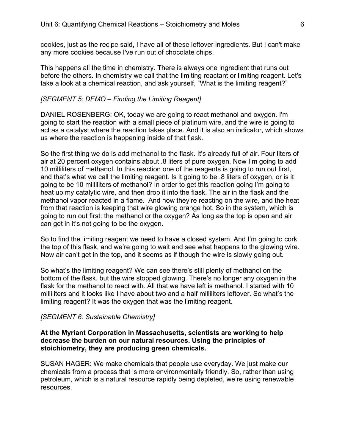cookies, just as the recipe said, I have all of these leftover ingredients. But I can't make any more cookies because I've run out of chocolate chips.

This happens all the time in chemistry. There is always one ingredient that runs out before the others. In chemistry we call that the limiting reactant or limiting reagent. Let's take a look at a chemical reaction, and ask yourself, "What is the limiting reagent?"

#### *[SEGMENT 5: DEMO – Finding the Limiting Reagent]*

DANIEL ROSENBERG: OK, today we are going to react methanol and oxygen. I'm going to start the reaction with a small piece of platinum wire, and the wire is going to act as a catalyst where the reaction takes place. And it is also an indicator, which shows us where the reaction is happening inside of that flask.

So the first thing we do is add methanol to the flask. It's already full of air. Four liters of air at 20 percent oxygen contains about .8 liters of pure oxygen. Now I'm going to add 10 milliliters of methanol. In this reaction one of the reagents is going to run out first, and that's what we call the limiting reagent. Is it going to be .8 liters of oxygen, or is it going to be 10 milliliters of methanol? In order to get this reaction going I'm going to heat up my catalytic wire, and then drop it into the flask. The air in the flask and the methanol vapor reacted in a flame. And now they're reacting on the wire, and the heat from that reaction is keeping that wire glowing orange hot. So in the system, which is going to run out first: the methanol or the oxygen? As long as the top is open and air can get in it's not going to be the oxygen.

So to find the limiting reagent we need to have a closed system. And I'm going to cork the top of this flask, and we're going to wait and see what happens to the glowing wire. Now air can't get in the top, and it seems as if though the wire is slowly going out.

So what's the limiting reagent? We can see there's still plenty of methanol on the bottom of the flask, but the wire stopped glowing. There's no longer any oxygen in the flask for the methanol to react with. All that we have left is methanol. I started with 10 milliliters and it looks like I have about two and a half milliliters leftover. So what's the limiting reagent? It was the oxygen that was the limiting reagent.

#### *[SEGMENT 6: Sustainable Chemistry]*

### **At the Myriant Corporation in Massachusetts, scientists are working to help decrease the burden on our natural resources. Using the principles of stoichiometry, they are producing green chemicals.**

SUSAN HAGER: We make chemicals that people use everyday. We just make our chemicals from a process that is more environmentally friendly. So, rather than using petroleum, which is a natural resource rapidly being depleted, we're using renewable resources.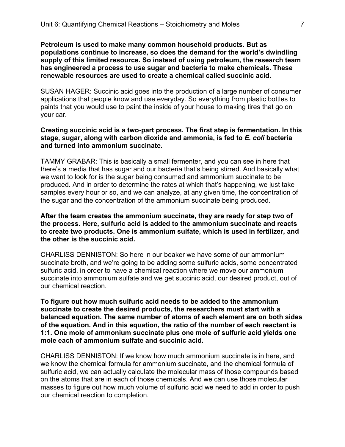**Petroleum is used to make many common household products. But as populations continue to increase, so does the demand for the world's dwindling supply of this limited resource. So instead of using petroleum, the research team has engineered a process to use sugar and bacteria to make chemicals. These renewable resources are used to create a chemical called succinic acid.**

SUSAN HAGER: Succinic acid goes into the production of a large number of consumer applications that people know and use everyday. So everything from plastic bottles to paints that you would use to paint the inside of your house to making tires that go on your car.

### **Creating succinic acid is a two-part process. The first step is fermentation. In this stage, sugar, along with carbon dioxide and ammonia, is fed to** *E. coli* **bacteria and turned into ammonium succinate.**

TAMMY GRABAR: This is basically a small fermenter, and you can see in here that there's a media that has sugar and our bacteria that's being stirred. And basically what we want to look for is the sugar being consumed and ammonium succinate to be produced. And in order to determine the rates at which that's happening, we just take samples every hour or so, and we can analyze, at any given time, the concentration of the sugar and the concentration of the ammonium succinate being produced.

#### **After the team creates the ammonium succinate, they are ready for step two of the process. Here, sulfuric acid is added to the ammonium succinate and reacts to create two products. One is ammonium sulfate, which is used in fertilizer, and the other is the succinic acid.**

CHARLISS DENNISTON: So here in our beaker we have some of our ammonium succinate broth, and we're going to be adding some sulfuric acids, some concentrated sulfuric acid, in order to have a chemical reaction where we move our ammonium succinate into ammonium sulfate and we get succinic acid, our desired product, out of our chemical reaction.

**To figure out how much sulfuric acid needs to be added to the ammonium succinate to create the desired products, the researchers must start with a balanced equation. The same number of atoms of each element are on both sides of the equation. And in this equation, the ratio of the number of each reactant is 1:1. One mole of ammonium succinate plus one mole of sulfuric acid yields one mole each of ammonium sulfate and succinic acid.**

CHARLISS DENNISTON: If we know how much ammonium succinate is in here, and we know the chemical formula for ammonium succinate, and the chemical formula of sulfuric acid, we can actually calculate the molecular mass of those compounds based on the atoms that are in each of those chemicals. And we can use those molecular masses to figure out how much volume of sulfuric acid we need to add in order to push our chemical reaction to completion.